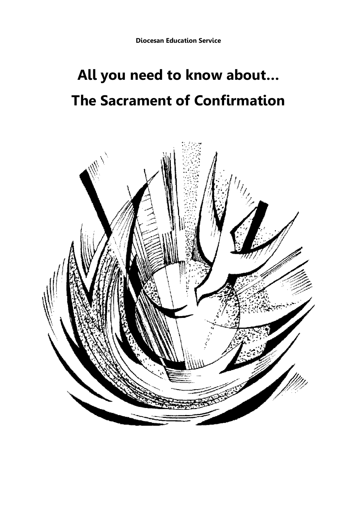# **All you need to know about… The Sacrament of Confirmation**

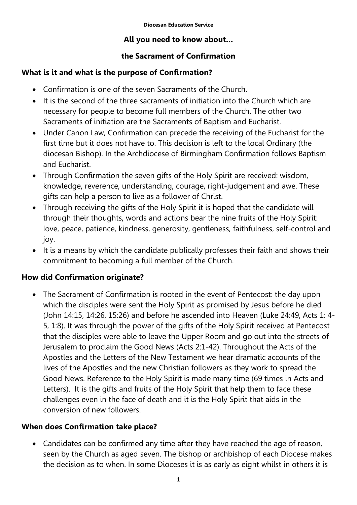## **All you need to know about…**

## **the Sacrament of Confirmation**

## **What is it and what is the purpose of Confirmation?**

- Confirmation is one of the seven Sacraments of the Church.
- $\bullet$  It is the second of the three sacraments of initiation into the Church which are necessary for people to become full members of the Church. The other two Sacraments of initiation are the Sacraments of Baptism and Eucharist.
- Under Canon Law, Confirmation can precede the receiving of the Eucharist for the first time but it does not have to. This decision is left to the local Ordinary (the diocesan Bishop). In the Archdiocese of Birmingham Confirmation follows Baptism and Eucharist.
- Through Confirmation the seven gifts of the Holy Spirit are received: wisdom, knowledge, reverence, understanding, courage, right-judgement and awe. These gifts can help a person to live as a follower of Christ.
- Through receiving the gifts of the Holy Spirit it is hoped that the candidate will through their thoughts, words and actions bear the nine fruits of the Holy Spirit: love, peace, patience, kindness, generosity, gentleness, faithfulness, self-control and joy.
- It is a means by which the candidate publically professes their faith and shows their commitment to becoming a full member of the Church.

## **How did Confirmation originate?**

 The Sacrament of Confirmation is rooted in the event of Pentecost: the day upon which the disciples were sent the Holy Spirit as promised by Jesus before he died (John 14:15, 14:26, 15:26) and before he ascended into Heaven (Luke 24:49, Acts 1: 4- 5, 1:8). It was through the power of the gifts of the Holy Spirit received at Pentecost that the disciples were able to leave the Upper Room and go out into the streets of Jerusalem to proclaim the Good News (Acts 2:1-42). Throughout the Acts of the Apostles and the Letters of the New Testament we hear dramatic accounts of the lives of the Apostles and the new Christian followers as they work to spread the Good News. Reference to the Holy Spirit is made many time (69 times in Acts and Letters). It is the gifts and fruits of the Holy Spirit that help them to face these challenges even in the face of death and it is the Holy Spirit that aids in the conversion of new followers.

## **When does Confirmation take place?**

 Candidates can be confirmed any time after they have reached the age of reason, seen by the Church as aged seven. The bishop or archbishop of each Diocese makes the decision as to when. In some Dioceses it is as early as eight whilst in others it is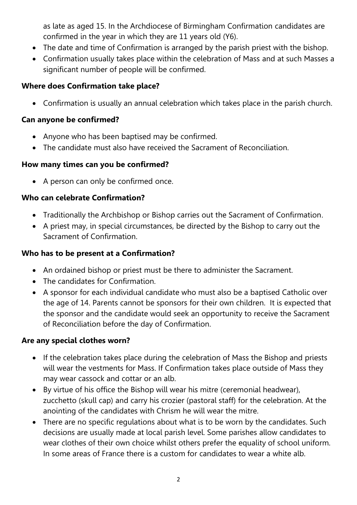as late as aged 15. In the Archdiocese of Birmingham Confirmation candidates are confirmed in the year in which they are 11 years old (Y6).

- The date and time of Confirmation is arranged by the parish priest with the bishop.
- Confirmation usually takes place within the celebration of Mass and at such Masses a significant number of people will be confirmed.

## **Where does Confirmation take place?**

Confirmation is usually an annual celebration which takes place in the parish church.

#### **Can anyone be confirmed?**

- Anyone who has been baptised may be confirmed.
- The candidate must also have received the Sacrament of Reconciliation.

## **How many times can you be confirmed?**

• A person can only be confirmed once.

## **Who can celebrate Confirmation?**

- Traditionally the Archbishop or Bishop carries out the Sacrament of Confirmation.
- A priest may, in special circumstances, be directed by the Bishop to carry out the Sacrament of Confirmation.

## **Who has to be present at a Confirmation?**

- An ordained bishop or priest must be there to administer the Sacrament.
- The candidates for Confirmation.
- A sponsor for each individual candidate who must also be a baptised Catholic over the age of 14. Parents cannot be sponsors for their own children. It is expected that the sponsor and the candidate would seek an opportunity to receive the Sacrament of Reconciliation before the day of Confirmation.

## **Are any special clothes worn?**

- If the celebration takes place during the celebration of Mass the Bishop and priests will wear the vestments for Mass. If Confirmation takes place outside of Mass they may wear cassock and cottar or an alb.
- By virtue of his office the Bishop will wear his mitre (ceremonial headwear), zucchetto (skull cap) and carry his crozier (pastoral staff) for the celebration. At the anointing of the candidates with Chrism he will wear the mitre.
- There are no specific regulations about what is to be worn by the candidates. Such decisions are usually made at local parish level. Some parishes allow candidates to wear clothes of their own choice whilst others prefer the equality of school uniform. In some areas of France there is a custom for candidates to wear a white alb.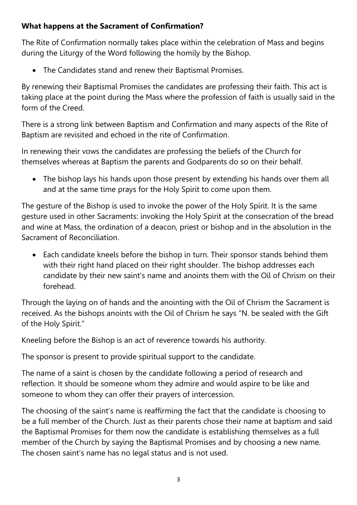## **What happens at the Sacrament of Confirmation?**

The Rite of Confirmation normally takes place within the celebration of Mass and begins during the Liturgy of the Word following the homily by the Bishop.

The Candidates stand and renew their Baptismal Promises.

By renewing their Baptismal Promises the candidates are professing their faith. This act is taking place at the point during the Mass where the profession of faith is usually said in the form of the Creed.

There is a strong link between Baptism and Confirmation and many aspects of the Rite of Baptism are revisited and echoed in the rite of Confirmation.

In renewing their vows the candidates are professing the beliefs of the Church for themselves whereas at Baptism the parents and Godparents do so on their behalf.

• The bishop lays his hands upon those present by extending his hands over them all and at the same time prays for the Holy Spirit to come upon them.

The gesture of the Bishop is used to invoke the power of the Holy Spirit. It is the same gesture used in other Sacraments: invoking the Holy Spirit at the consecration of the bread and wine at Mass, the ordination of a deacon, priest or bishop and in the absolution in the Sacrament of Reconciliation.

 Each candidate kneels before the bishop in turn. Their sponsor stands behind them with their right hand placed on their right shoulder. The bishop addresses each candidate by their new saint's name and anoints them with the Oil of Chrism on their forehead.

Through the laying on of hands and the anointing with the Oil of Chrism the Sacrament is received. As the bishops anoints with the Oil of Chrism he says "N. be sealed with the Gift of the Holy Spirit."

Kneeling before the Bishop is an act of reverence towards his authority.

The sponsor is present to provide spiritual support to the candidate.

The name of a saint is chosen by the candidate following a period of research and reflection. It should be someone whom they admire and would aspire to be like and someone to whom they can offer their prayers of intercession.

The choosing of the saint's name is reaffirming the fact that the candidate is choosing to be a full member of the Church. Just as their parents chose their name at baptism and said the Baptismal Promises for them now the candidate is establishing themselves as a full member of the Church by saying the Baptismal Promises and by choosing a new name. The chosen saint's name has no legal status and is not used.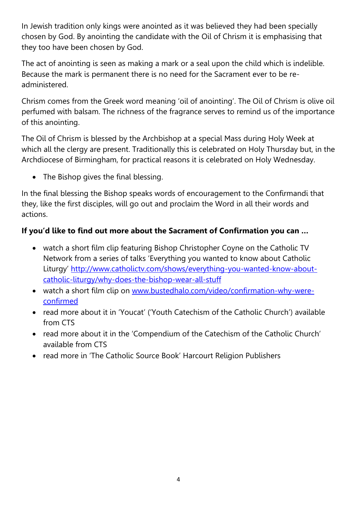In Jewish tradition only kings were anointed as it was believed they had been specially chosen by God. By anointing the candidate with the Oil of Chrism it is emphasising that they too have been chosen by God.

The act of anointing is seen as making a mark or a seal upon the child which is indelible. Because the mark is permanent there is no need for the Sacrament ever to be readministered.

Chrism comes from the Greek word meaning 'oil of anointing'. The Oil of Chrism is olive oil perfumed with balsam. The richness of the fragrance serves to remind us of the importance of this anointing.

The Oil of Chrism is blessed by the Archbishop at a special Mass during Holy Week at which all the clergy are present. Traditionally this is celebrated on Holy Thursday but, in the Archdiocese of Birmingham, for practical reasons it is celebrated on Holy Wednesday.

• The Bishop gives the final blessing.

In the final blessing the Bishop speaks words of encouragement to the Confirmandi that they, like the first disciples, will go out and proclaim the Word in all their words and actions.

## **If you'd like to find out more about the Sacrament of Confirmation you can …**

- watch a short film clip featuring Bishop Christopher Coyne on the Catholic TV Network from a series of talks 'Everything you wanted to know about Catholic Liturgy' [http://www.catholictv.com/shows/everything-you-wanted-know-about](http://www.catholictv.com/shows/everything-you-wanted-know-about-catholic-liturgy/why-does-the-bishop-wear-all-stuff)[catholic-liturgy/why-does-the-bishop-wear-all-stuff](http://www.catholictv.com/shows/everything-you-wanted-know-about-catholic-liturgy/why-does-the-bishop-wear-all-stuff)
- watch a short film clip on [www.bustedhalo.com/video/confirmation-why-were](http://www.bustedhalo.com/video/confirmation-why-were-confirmed)[confirmed](http://www.bustedhalo.com/video/confirmation-why-were-confirmed)
- read more about it in 'Youcat' ('Youth Catechism of the Catholic Church') available from CTS
- read more about it in the 'Compendium of the Catechism of the Catholic Church' available from CTS
- read more in 'The Catholic Source Book' Harcourt Religion Publishers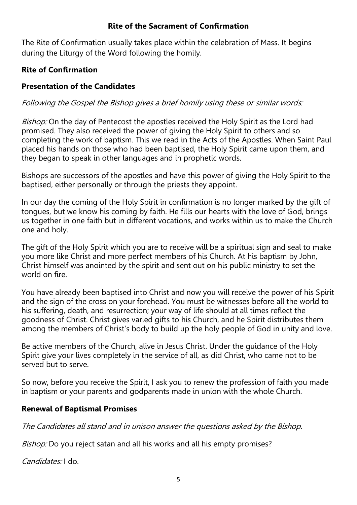#### **Rite of the Sacrament of Confirmation**

The Rite of Confirmation usually takes place within the celebration of Mass. It begins during the Liturgy of the Word following the homily.

#### **Rite of Confirmation**

#### **Presentation of the Candidates**

Following the Gospel the Bishop gives a brief homily using these or similar words:

Bishop: On the day of Pentecost the apostles received the Holy Spirit as the Lord had promised. They also received the power of giving the Holy Spirit to others and so completing the work of baptism. This we read in the Acts of the Apostles. When Saint Paul placed his hands on those who had been baptised, the Holy Spirit came upon them, and they began to speak in other languages and in prophetic words.

Bishops are successors of the apostles and have this power of giving the Holy Spirit to the baptised, either personally or through the priests they appoint.

In our day the coming of the Holy Spirit in confirmation is no longer marked by the gift of tongues, but we know his coming by faith. He fills our hearts with the love of God, brings us together in one faith but in different vocations, and works within us to make the Church one and holy.

The gift of the Holy Spirit which you are to receive will be a spiritual sign and seal to make you more like Christ and more perfect members of his Church. At his baptism by John, Christ himself was anointed by the spirit and sent out on his public ministry to set the world on fire.

You have already been baptised into Christ and now you will receive the power of his Spirit and the sign of the cross on your forehead. You must be witnesses before all the world to his suffering, death, and resurrection; your way of life should at all times reflect the goodness of Christ. Christ gives varied gifts to his Church, and he Spirit distributes them among the members of Christ's body to build up the holy people of God in unity and love.

Be active members of the Church, alive in Jesus Christ. Under the guidance of the Holy Spirit give your lives completely in the service of all, as did Christ, who came not to be served but to serve.

So now, before you receive the Spirit, I ask you to renew the profession of faith you made in baptism or your parents and godparents made in union with the whole Church.

## **Renewal of Baptismal Promises**

The Candidates all stand and in unison answer the questions asked by the Bishop.

Bishop: Do you reject satan and all his works and all his empty promises?

Candidates: I do.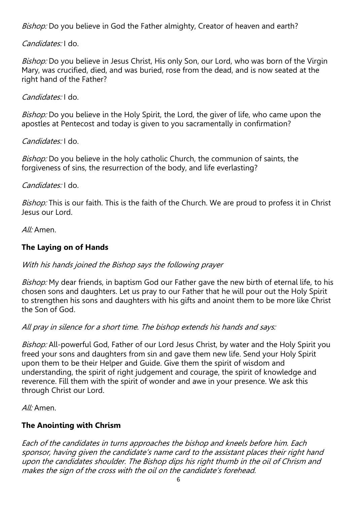Bishop: Do you believe in God the Father almighty, Creator of heaven and earth?

Candidates: I do.

Bishop: Do you believe in Jesus Christ, His only Son, our Lord, who was born of the Virgin Mary, was crucified, died, and was buried, rose from the dead, and is now seated at the right hand of the Father?

Candidates: I do.

Bishop: Do you believe in the Holy Spirit, the Lord, the giver of life, who came upon the apostles at Pentecost and today is given to you sacramentally in confirmation?

Candidates: I do.

Bishop: Do you believe in the holy catholic Church, the communion of saints, the forgiveness of sins, the resurrection of the body, and life everlasting?

Candidates: I do.

Bishop: This is our faith. This is the faith of the Church. We are proud to profess it in Christ Jesus our Lord.

All: Amen.

## **The Laying on of Hands**

#### With his hands joined the Bishop says the following prayer

Bishop: My dear friends, in baptism God our Father gave the new birth of eternal life, to his chosen sons and daughters. Let us pray to our Father that he will pour out the Holy Spirit to strengthen his sons and daughters with his gifts and anoint them to be more like Christ the Son of God.

All pray in silence for a short time. The bishop extends his hands and says:

Bishop: All-powerful God, Father of our Lord Jesus Christ, by water and the Holy Spirit you freed your sons and daughters from sin and gave them new life. Send your Holy Spirit upon them to be their Helper and Guide. Give them the spirit of wisdom and understanding, the spirit of right judgement and courage, the spirit of knowledge and reverence. Fill them with the spirit of wonder and awe in your presence. We ask this through Christ our Lord.

 $Al·$  Amen.

#### **The Anointing with Chrism**

Each of the candidates in turns approaches the bishop and kneels before him. Each sponsor, having given the candidate's name card to the assistant places their right hand upon the candidates shoulder. The Bishop dips his right thumb in the oil of Chrism and makes the sign of the cross with the oil on the candidate's forehead.